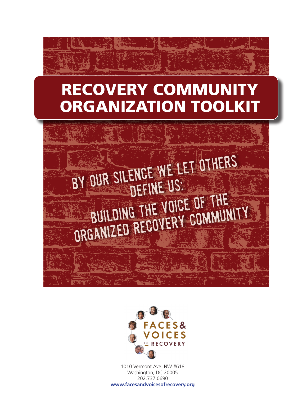# RECOVERY COMMUNITY ORGANIZATION TOOLKIT





1010 Vermont Ave. NW #618 Washington, DC 20005 202.737.0690 **www.facesandvoicesofrecovery.org**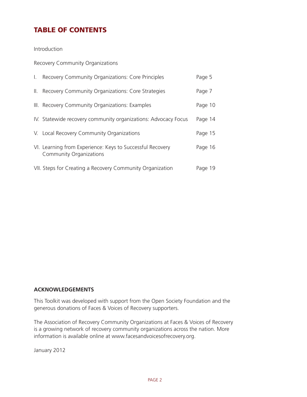# TABLE OF CONTENTS

Introduction

Recovery Community Organizations

| L.  | Recovery Community Organizations: Core Principles                                           | Page 5  |
|-----|---------------------------------------------------------------------------------------------|---------|
| II. | Recovery Community Organizations: Core Strategies                                           | Page 7  |
|     | III. Recovery Community Organizations: Examples                                             | Page 10 |
|     | IV. Statewide recovery community organizations: Advocacy Focus                              | Page 14 |
|     | V. Local Recovery Community Organizations                                                   | Page 15 |
|     | VI. Learning from Experience: Keys to Successful Recovery<br><b>Community Organizations</b> | Page 16 |
|     | VII. Steps for Creating a Recovery Community Organization                                   | Page 19 |

#### **ACKNOWLEDGEMENTS**

This Toolkit was developed with support from the Open Society Foundation and the generous donations of Faces & Voices of Recovery supporters.

The Association of Recovery Community Organizations at Faces & Voices of Recovery is a growing network of recovery community organizations across the nation. More information is available online at www.facesandvoicesofrecovery.org.

January 2012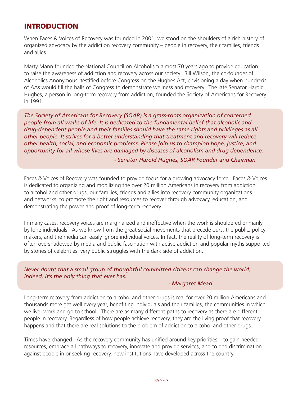# INTRODUCTION

When Faces & Voices of Recovery was founded in 2001, we stood on the shoulders of a rich history of organized advocacy by the addiction recovery community – people in recovery, their families, friends and allies.

Marty Mann founded the National Council on Alcoholism almost 70 years ago to provide education to raise the awareness of addiction and recovery across our society. Bill Wilson, the co-founder of Alcoholics Anonymous, testified before Congress on the Hughes Act, envisioning a day when hundreds of AAs would fill the halls of Congress to demonstrate wellness and recovery. The late Senator Harold Hughes, a person in long-term recovery from addiction, founded the Society of Americans for Recovery in 1991.

*The Society of Americans for Recovery (SOAR) is a grass-roots organization of concerned people from all walks of life. It is dedicated to the fundamental belief that alcoholic and drug-dependent people and their families should have the same rights and privileges as all other people. It strives for a better understanding that treatment and recovery will reduce other health, social, and economic problems. Please join us to champion hope, justice, and opportunity for all whose lives are damaged by diseases of alcoholism and drug dependence.*

 *- Senator Harold Hughes, SOAR Founder and Chairman*

Faces & Voices of Recovery was founded to provide focus for a growing advocacy force. Faces & Voices is dedicated to organizing and mobilizing the over 20 million Americans in recovery from addiction to alcohol and other drugs, our families, friends and allies into recovery community organizations and networks, to promote the right and resources to recover through advocacy, education, and demonstrating the power and proof of long-term recovery.

In many cases, recovery voices are marginalized and ineffective when the work is shouldered primarily by lone individuals. As we know from the great social movements that precede ours, the public, policy makers, and the media can easily ignore individual voices. In fact, the reality of long-term recovery is often overshadowed by media and public fascination with active addiction and popular myths supported by stories of celebrities' very public struggles with the dark side of addiction.

*Never doubt that a small group of thoughtful committed citizens can change the world; indeed, it's the only thing that ever has.* 

#### *- Margaret Mead*

Long-term recovery from addiction to alcohol and other drugs is real for over 20 million Americans and thousands more get well every year, benefiting individuals and their families, the communities in which we live, work and go to school. There are as many different paths to recovery as there are different people in recovery. Regardless of how people achieve recovery, they are the living proof that recovery happens and that there are real solutions to the problem of addiction to alcohol and other drugs.

Times have changed. As the recovery community has unified around key priorities – to gain needed resources, embrace all pathways to recovery, innovate and provide services, and to end discrimination against people in or seeking recovery, new institutions have developed across the country.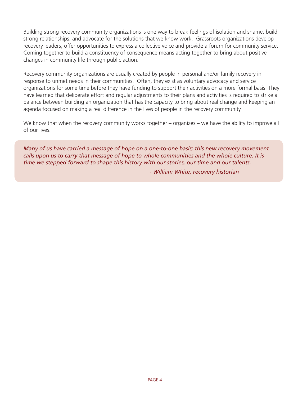Building strong recovery community organizations is one way to break feelings of isolation and shame, build strong relationships, and advocate for the solutions that we know work. Grassroots organizations develop recovery leaders, offer opportunities to express a collective voice and provide a forum for community service. Coming together to build a constituency of consequence means acting together to bring about positive changes in community life through public action.

Recovery community organizations are usually created by people in personal and/or family recovery in response to unmet needs in their communities. Often, they exist as voluntary advocacy and service organizations for some time before they have funding to support their activities on a more formal basis. They have learned that deliberate effort and regular adjustments to their plans and activities is required to strike a balance between building an organization that has the capacity to bring about real change and keeping an agenda focused on making a real difference in the lives of people in the recovery community.

We know that when the recovery community works together – organizes – we have the ability to improve all of our lives.

*Many of us have carried a message of hope on a one-to-one basis; this new recovery movement calls upon us to carry that message of hope to whole communities and the whole culture. It is time we stepped forward to shape this history with our stories, our time and our talents.*

 *- William White, recovery historian*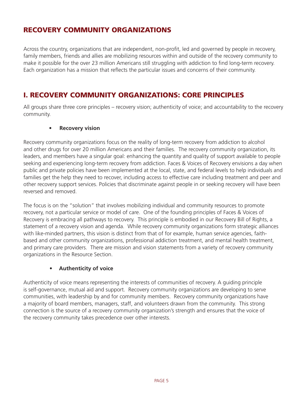# RECOVERY COMMUNITY ORGANIZATIONS

Across the country, organizations that are independent, non-profit, led and governed by people in recovery, family members, friends and allies are mobilizing resources within and outside of the recovery community to make it possible for the over 23 million Americans still struggling with addiction to find long-term recovery. Each organization has a mission that reflects the particular issues and concerns of their community.

# I. RECOVERY COMMUNITY ORGANIZATIONS: CORE PRINCIPLES

All groups share three core principles – recovery vision; authenticity of voice; and accountability to the recovery community.

#### **Recovery** vision

Recovery community organizations focus on the reality of long-term recovery from addiction to alcohol and other drugs for over 20 million Americans and their families. The recovery community organization, its leaders, and members have a singular goal: enhancing the quantity and quality of support available to people seeking and experiencing long-term recovery from addiction. Faces & Voices of Recovery envisions a day when public and private policies have been implemented at the local, state, and federal levels to help individuals and families get the help they need to recover, including access to effective care including treatment and peer and other recovery support services. Policies that discriminate against people in or seeking recovery will have been reversed and removed.

The focus is on the "solution" that involves mobilizing individual and community resources to promote recovery, not a particular service or model of care. One of the founding principles of Faces & Voices of Recovery is embracing all pathways to recovery. This principle is embodied in our Recovery Bill of Rights, a statement of a recovery vision and agenda. While recovery community organizations form strategic alliances with like-minded partners, this vision is distinct from that of for example, human service agencies, faithbased and other community organizations, professional addiction treatment, and mental health treatment, and primary care providers. There are mission and vision statements from a variety of recovery community organizations in the Resource Section.

#### **• Authenticity of voice**

Authenticity of voice means representing the interests of communities of recovery. A guiding principle is self-governance, mutual aid and support. Recovery community organizations are developing to serve communities, with leadership by and for community members. Recovery community organizations have a majority of board members, managers, staff, and volunteers drawn from the community. This strong connection is the source of a recovery community organization's strength and ensures that the voice of the recovery community takes precedence over other interests.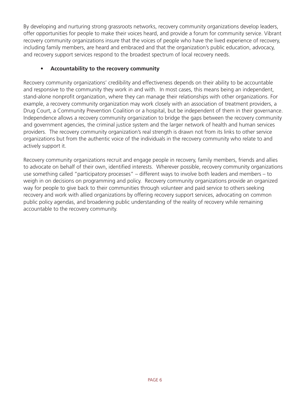By developing and nurturing strong grassroots networks, recovery community organizations develop leaders, offer opportunities for people to make their voices heard, and provide a forum for community service. Vibrant recovery community organizations insure that the voices of people who have the lived experience of recovery, including family members, are heard and embraced and that the organization's public education, advocacy, and recovery support services respond to the broadest spectrum of local recovery needs.

#### **• Accountability to the recovery community**

Recovery community organizations' credibility and effectiveness depends on their ability to be accountable and responsive to the community they work in and with. In most cases, this means being an independent, stand-alone nonprofit organization, where they can manage their relationships with other organizations. For example, a recovery community organization may work closely with an association of treatment providers, a Drug Court, a Community Prevention Coalition or a hospital, but be independent of them in their governance. Independence allows a recovery community organization to bridge the gaps between the recovery community and government agencies, the criminal justice system and the larger network of health and human services providers. The recovery community organization's real strength is drawn not from its links to other service organizations but from the authentic voice of the individuals in the recovery community who relate to and actively support it.

Recovery community organizations recruit and engage people in recovery, family members, friends and allies to advocate on behalf of their own, identified interests. Wherever possible, recovery community organizations use something called "participatory processes" – different ways to involve both leaders and members – to weigh in on decisions on programming and policy. Recovery community organizations provide an organized way for people to give back to their communities through volunteer and paid service to others seeking recovery and work with allied organizations by offering recovery support services, advocating on common public policy agendas, and broadening public understanding of the reality of recovery while remaining accountable to the recovery community.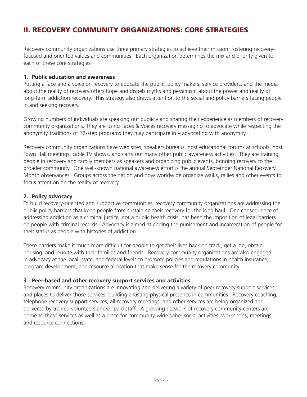# II. RECOVERY COMMUNITY ORGANIZATIONS: CORE STRATEGIES

Recovery community organizations use three primary strategies to achieve their mission, fostering recoveryfocused and oriented values and communities. Each organization determines the mix and priority given to each of these core strategies:

#### **1. Public education and awareness**

Putting a face and a voice on recovery to educate the public, policy makers, service providers, and the media about the reality of recovery offers hope and dispels myths and pessimism about the power and reality of long-term addiction recovery. This strategy also draws attention to the social and policy barriers facing people in and seeking recovery.

Growing numbers of individuals are speaking out publicly and sharing their experience as members of recovery community organizations. They are using Faces & Voices recovery messaging to advocate while respecting the anonymity traditions of 12-step programs they may participate in – advocating with anonymity.

Recovery community organizations have web sites, speakers bureaus, host educational forums at schools, host Town Hall meetings, cable TV shows, and carry out many other public awareness activities. They are training people in recovery and family members as speakers and organizing public events, bringing recovery to the broader community. One well-known national awareness effort is the annual September National Recovery Month observances. Groups across the nation and now worldwide organize walks, rallies and other events to focus attention on the reality of recovery.

#### **2. Policy advocacy**

To build recovery-oriented and supportive communities, recovery community organizations are addressing the public policy barriers that keep people from sustaining their recovery for the long haul. One consequence of addressing addiction as a criminal justice, not a public health crisis, has been the imposition of legal barriers on people with criminal records. Advocacy is aimed at ending the punishment and incarceration of people for their status as people with histories of addiction.

These barriers make it much more difficult for people to get their lives back on track, get a job, obtain housing, and reunite with their families and friends. Recovery community organizations are also engaged in advocacy at the local, state, and federal levels to promote policies and regulations in health insurance, program development, and resource allocation that make sense for the recovery community.

#### **3. Peer-based and other recovery support services and activities**

Recovery community organizations are innovating and delivering a variety of peer recovery support services and places to deliver those services, building a lasting physical presence in communities. Recovery coaching, telephone recovery support services, all-recovery meetings, and other services are being organized and delivered by trained volunteers and/or paid staff. A growing network of recovery community centers are home to these services as well as a place for community-wide sober social activities, workshops, meetings, and resource connections.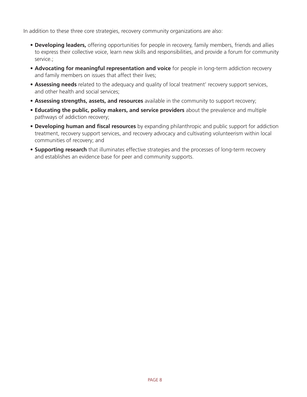In addition to these three core strategies, recovery community organizations are also:

- • **Developing leaders,** offering opportunities for people in recovery, family members, friends and allies to express their collective voice, learn new skills and responsibilities, and provide a forum for community service.;
- • **Advocating for meaningful representation and voice** for people in long-term addiction recovery and family members on issues that affect their lives;
- **Assessing needs** related to the adequacy and quality of local treatment' recovery support services, and other health and social services;
- • **Assessing strengths, assets, and resources** available in the community to support recovery;
- • **Educating the public, policy makers, and service providers** about the prevalence and multiple pathways of addiction recovery;
- • **Developing human and fiscal resources** by expanding philanthropic and public support for addiction treatment, recovery support services, and recovery advocacy and cultivating volunteerism within local communities of recovery; and
- **Supporting research** that illuminates effective strategies and the processes of long-term recovery and establishes an evidence base for peer and community supports.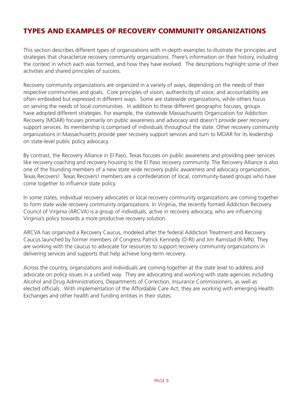# TYPES AND EXAMPLES OF RECOVERY COMMUNITY ORGANIZATIONS

This section describes different types of organizations with in-depth examples to illustrate the principles and strategies that characterize recovery community organizations. There's information on their history, including the context in which each was formed, and how they have evolved. The descriptions highlight some of their activities and shared principles of success.

Recovery community organizations are organized in a variety of ways, depending on the needs of their respective communities and goals. Core principles of vision, authenticity of voice, and accountability are often embodied but expressed in different ways. Some are statewide organizations, while others focus on serving the needs of local communities. In addition to these different geographic focuses, groups have adopted different strategies. For example, the statewide Massachusetts Organization for Addiction Recovery (MOAR) focuses primarily on public awareness and advocacy and doesn't provide peer recovery support services. Its membership is comprised of individuals throughout the state. Other recovery community organizations in Massachusetts provide peer recovery support services and turn to MOAR for its leadership on state-level public policy advocacy.

By contrast, the Recovery Alliance in El Paso, Texas focuses on public awareness and providing peer services like recovery coaching and recovery housing to the El Paso recovery community. The Recovery Alliance is also one of the founding members of a new state wide recovery public awareness and advocacy organization, Texas Recovers! Texas Recovers! members are a confederation of local, community-based groups who have come together to influence state policy.

In some states, individual recovery advocates or local recovery community organizations are coming together to form state wide recovery community organizations. In Virginia, the recently formed Addiction Recovery Council of Virginia (ARCVA) is a group of individuals, active in recovery advocacy, who are influencing Virginia's policy towards a more productive recovery solution.

ARCVA has organized a Recovery Caucus, modeled after the federal Addiction Treatment and Recovery Caucus launched by former members of Congress Patrick Kennedy (D-RI) and Jim Ramstad (R-MN). They are working with the caucus to advocate for resources to support recovery community organizations in delivering services and supports that help achieve long-term recovery.

Across the country, organizations and individuals are coming together at the state level to address and advocate on policy issues in a unified way. They are advocating and working with state agencies including Alcohol and Drug Administrations, Departments of Correction, Insurance Commissioners, as well as elected officials. With implementation of the Affordable Care Act, they are working with emerging Health Exchanges and other health and funding entities in their states.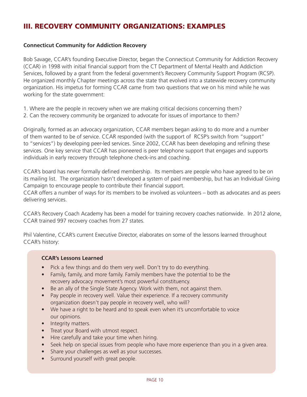# III. RECOVERY COMMUNITY ORGANIZATIONS: EXAMPLES

#### **Connecticut Community for Addiction Recovery**

Bob Savage, CCAR's founding Executive Director, began the Connecticut Community for Addiction Recovery (CCAR) in 1998 with initial financial support from the CT Department of Mental Health and Addiction Services, followed by a grant from the federal government's Recovery Community Support Program (RCSP). He organized monthly Chapter meetings across the state that evolved into a statewide recovery community organization. His impetus for forming CCAR came from two questions that we on his mind while he was working for the state government:

- 1. Where are the people in recovery when we are making critical decisions concerning them?
- 2. Can the recovery community be organized to advocate for issues of importance to them?

Originally, formed as an advocacy organization, CCAR members began asking to do more and a number of them wanted to be of service. CCAR responded (with the support of RCSP's switch from "support" to "services") by developing peer-led services. Since 2002, CCAR has been developing and refining these services. One key service that CCAR has pioneered is peer telephone support that engages and supports individuals in early recovery through telephone check-ins and coaching.

CCAR's board has never formally defined membership. Its members are people who have agreed to be on its mailing list. The organization hasn't developed a system of paid membership, but has an Individual Giving Campaign to encourage people to contribute their financial support.

CCAR offers a number of ways for its members to be involved as volunteers – both as advocates and as peers delivering services.

CCAR's Recovery Coach Academy has been a model for training recovery coaches nationwide. In 2012 alone, CCAR trained 997 recovery coaches from 27 states.

Phil Valentine, CCAR's current Executive Director, elaborates on some of the lessons learned throughout CCAR's history:

#### **CCAR's Lessons Learned**

- Pick a few things and do them very well. Don't try to do everything.
- Family, family, and more family. Family members have the potential to be the recovery advocacy movement's most powerful constituency.
- Be an ally of the Single State Agency. Work with them, not against them.
- Pay people in recovery well. Value their experience. If a recovery community organization doesn't pay people in recovery well, who will?
- We have a right to be heard and to speak even when it's uncomfortable to voice our opinions.
- Integrity matters.
- • Treat your Board with utmost respect.
- Hire carefully and take your time when hiring.
- Seek help on special issues from people who have more experience than you in a given area.
- Share your challenges as well as your successes.
- Surround yourself with great people.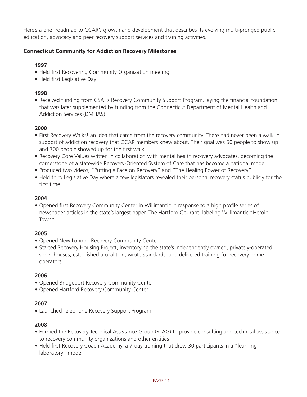Here's a brief roadmap to CCAR's growth and development that describes its evolving multi-pronged public education, advocacy and peer recovery support services and training activities.

# **Connecticut Community for Addiction Recovery Milestones**

## **1997**

- Held first Recovering Community Organization meeting
- Held first Legislative Day

## **1998**

• Received funding from CSAT's Recovery Community Support Program, laying the financial foundation that was later supplemented by funding from the Connecticut Department of Mental Health and Addiction Services (DMHAS)

# **2000**

- First Recovery Walks! an idea that came from the recovery community. There had never been a walk in support of addiction recovery that CCAR members knew about. Their goal was 50 people to show up and 700 people showed up for the first walk.
- Recovery Core Values written in collaboration with mental health recovery advocates, becoming the cornerstone of a statewide Recovery-Oriented System of Care that has become a national model.
- Produced two videos, "Putting a Face on Recovery" and "The Healing Power of Recovery"
- Held third Legislative Day where a few legislators revealed their personal recovery status publicly for the first time

## **2004**

• Opened first Recovery Community Center in Willimantic in response to a high profile series of newspaper articles in the state's largest paper, The Hartford Courant, labeling Willimantic "Heroin Town"

#### **2005**

- Opened New London Recovery Community Center
- Started Recovery Housing Project, inventorying the state's independently owned, privately-operated sober houses, established a coalition, wrote standards, and delivered training for recovery home operators.

# **2006**

- Opened Bridgeport Recovery Community Center
- Opened Hartford Recovery Community Center

# **2007**

• Launched Telephone Recovery Support Program

#### **2008**

- Formed the Recovery Technical Assistance Group (RTAG) to provide consulting and technical assistance to recovery community organizations and other entities
- Held first Recovery Coach Academy, a 7-day training that drew 30 participants in a "learning" laboratory" model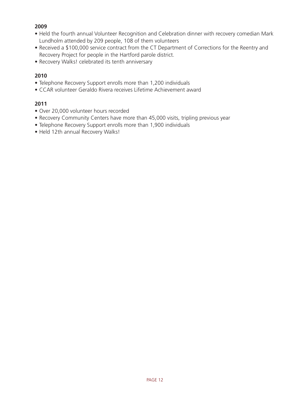## **2009**

- Held the fourth annual Volunteer Recognition and Celebration dinner with recovery comedian Mark Lundholm attended by 209 people, 108 of them volunteers
- Received a \$100,000 service contract from the CT Department of Corrections for the Reentry and Recovery Project for people in the Hartford parole district.
- Recovery Walks! celebrated its tenth anniversary

## **2010**

- Telephone Recovery Support enrolls more than 1,200 individuals
- CCAR volunteer Geraldo Rivera receives Lifetime Achievement award

# **2011**

- Over 20,000 volunteer hours recorded
- Recovery Community Centers have more than 45,000 visits, tripling previous year
- Telephone Recovery Support enrolls more than 1,900 individuals
- Held 12th annual Recovery Walks!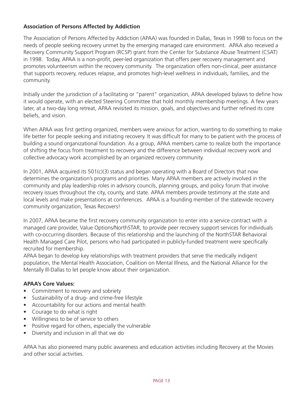## **Association of Persons Affected by Addiction**

The Association of Persons Affected by Addiction (APAA) was founded in Dallas, Texas in 1998 to focus on the needs of people seeking recovery unmet by the emerging managed care environment. APAA also received a Recovery Community Support Program (RCSP) grant from the Center for Substance Abuse Treatment (CSAT) in 1998. Today, APAA is a non-profit, peer-led organization that offers peer recovery management and promotes volunteerism within the recovery community. The organization offers non-clinical, peer assistance that supports recovery, reduces relapse, and promotes high-level wellness in individuals, families, and the community.

Initially under the jurisdiction of a facilitating or "parent" organization, APAA developed bylaws to define how it would operate, with an elected Steering Committee that hold monthly membership meetings. A few years later, at a two-day long retreat, APAA revisited its mission, goals, and objectives and further refined its core beliefs, and vision.

When APAA was first getting organized, members were anxious for action, wanting to do something to make life better for people seeking and initiating recovery. It was difficult for many to be patient with the process of building a sound organizational foundation. As a group, APAA members came to realize both the importance of shifting the focus from treatment to recovery and the difference between individual recovery work and collective advocacy work accomplished by an organized recovery community.

In 2001, APAA acquired its  $501(c)(3)$  status and began operating with a Board of Directors that now determines the organization's programs and priorities. Many APAA members are actively involved in the community and play leadership roles in advisory councils, planning groups, and policy forum that involve recovery issues throughout the city, county, and state. APAA members provide testimony at the state and local levels and make presentations at conferences. APAA is a founding member of the statewide recovery community organization, Texas Recovers!

In 2007, APAA became the first recovery community organization to enter into a service contract with a managed care provider, Value Options/NorthSTAR, to provide peer recovery support services for individuals with co-occurring disorders. Because of this relationship and the launching of the NorthSTAR Behavioral Health Managed Care Pilot, persons who had participated in publicly-funded treatment were specifically recruited for membership.

APAA began to develop key relationships with treatment providers that serve the medically indigent population, the Mental Health Association, Coalition on Mental Illness, and the National Alliance for the Mentally Ill-Dallas to let people know about their organization.

#### **APAA's Core Values:**

- Commitment to recovery and sobriety
- Sustainability of a drug- and crime-free lifestyle
- Accountability for our actions and mental health
- Courage to do what is right
- Willingness to be of service to others
- Positive regard for others, especially the vulnerable
- Diversity and inclusion in all that we do

APAA has also pioneered many public awareness and education activities including Recovery at the Movies and other social activities.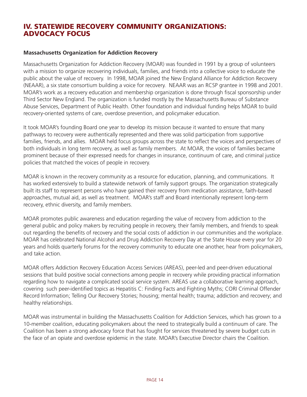# IV. STATEWIDE RECOVERY COMMUNITY ORGANIZATIONS: ADVOCACY FOCUS

#### **Massachusetts Organization for Addiction Recovery**

Massachusetts Organization for Addiction Recovery (MOAR) was founded in 1991 by a group of volunteers with a mission to organize recovering individuals, families, and friends into a collective voice to educate the public about the value of recovery. In 1998, MOAR joined the New England Alliance for Addiction Recovery (NEAAR), a six state consortium building a voice for recovery. NEAAR was an RCSP grantee in 1998 and 2001. MOAR's work as a recovery education and membership organization is done through fiscal sponsorship under Third Sector New England. The organization is funded mostly by the Massachusetts Bureau of Substance Abuse Services, Department of Public Health. Other foundation and individual funding helps MOAR to build recovery-oriented systems of care, overdose prevention, and policymaker education.

It took MOAR's founding Board one year to develop its mission because it wanted to ensure that many pathways to recovery were authentically represented and there was solid participation from supportive families, friends, and allies. MOAR held focus groups across the state to reflect the voices and perspectives of both individuals in long term recovery, as well as family members. At MOAR, the voices of families became prominent because of their expressed needs for changes in insurance, continuum of care, and criminal justice policies that matched the voices of people in recovery.

MOAR is known in the recovery community as a resource for education, planning, and communications. It has worked extensively to build a statewide network of family support groups. The organization strategically built its staff to represent persons who have gained their recovery from medication assistance, faith-based approaches, mutual aid, as well as treatment. MOAR's staff and Board intentionally represent long-term recovery, ethnic diversity, and family members.

MOAR promotes public awareness and education regarding the value of recovery from addiction to the general public and policy makers by recruiting people in recovery, their family members, and friends to speak out regarding the benefits of recovery and the social costs of addiction in our communities and the workplace. MOAR has celebrated National Alcohol and Drug Addiction Recovery Day at the State House every year for 20 years and holds quarterly forums for the recovery community to educate one another, hear from policymakers, and take action.

MOAR offers Addiction Recovery Education Access Services (AREAS), peer-led and peer-driven educational sessions that build positive social connections among people in recovery while providing practical information regarding how to navigate a complicated social service system. AREAS use a collaborative learning approach, covering such peer-identified topics as Hepatitis C: Finding Facts and Fighting Myths; CORI Criminal Offender Record Information; Telling Our Recovery Stories; housing; mental health; trauma; addiction and recovery; and healthy relationships.

MOAR was instrumental in building the Massachusetts Coalition for Addiction Services, which has grown to a 10-member coalition, educating policymakers about the need to strategically build a continuum of care. The Coalition has been a strong advocacy force that has fought for services threatened by severe budget cuts in the face of an opiate and overdose epidemic in the state. MOAR's Executive Director chairs the Coalition.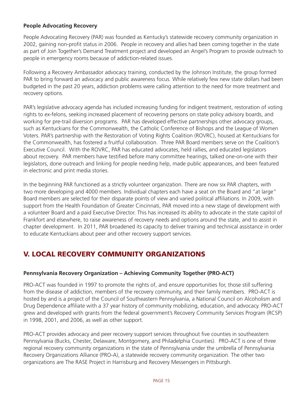#### **People Advocating Recovery**

People Advocating Recovery (PAR) was founded as Kentucky's statewide recovery community organization in 2002, gaining non-profit status in 2006. People in recovery and allies had been coming together in the state as part of Join Together's Demand Treatment project and developed an Angel's Program to provide outreach to people in emergency rooms because of addiction-related issues.

Following a Recovery Ambassador advocacy training, conducted by the Johnson Institute, the group formed PAR to bring forward an advocacy and public awareness focus. While relatively few new state dollars had been budgeted in the past 20 years, addiction problems were calling attention to the need for more treatment and recovery options.

PAR's legislative advocacy agenda has included increasing funding for indigent treatment, restoration of voting rights to ex-felons, seeking increased placement of recovering persons on state policy advisory boards, and working for pre-trail diversion programs. PAR has developed effective partnerships other advocacy groups, such as Kentuckians for the Commonwealth, the Catholic Conference of Bishops and the League of Women Voters. PAR's partnership with the Restoration of Voting Rights Coalition (ROVRC), housed at Kentuckians for the Commonwealth, has fostered a fruitful collaboration. Three PAR Board members serve on the Coalition's Executive Council. With the ROVRC, PAR has educated advocates, held rallies, and educated legislators about recovery. PAR members have testified before many committee hearings, talked one-on-one with their legislators, done outreach and linking for people needing help, made public appearances, and been featured in electronic and print media stories.

In the beginning PAR functioned as a strictly volunteer organization. There are now six PAR chapters, with two more developing and 4000 members. Individual chapters each have a seat on the Board and "at large" Board members are selected for their disparate points of view and varied political affiliations. In 2009, with support from the Health Foundation of Greater Cincinnati, PAR moved into a new stage of development with a volunteer Board and a paid Executive Director. This has increased its ability to advocate in the state capitol of Frankfort and elsewhere, to raise awareness of recovery needs and options around the state, and to assist in chapter development. In 2011, PAR broadened its capacity to deliver training and technical assistance in order to educate Kentuckians about peer and other recovery support services.

# V. LOCAL RECOVERY COMMUNITY ORGANIZATIONS

#### **Pennsylvania Recovery Organization – Achieving Community Together (PRO-ACT)**

PRO-ACT was founded in 1997 to promote the rights of, and ensure opportunities for, those still suffering from the disease of addiction, members of the recovery community, and their family members. PRO-ACT is hosted by and is a project of the Council of Southeastern Pennsylvania, a National Council on Alcoholism and Drug Dependence affiliate with a 37 year history of community mobilizing, education, and advocacy. PRO-ACT grew and developed with grants from the federal government's Recovery Community Services Program (RCSP) in 1998, 2001, and 2006, as well as other support.

PRO-ACT provides advocacy and peer recovery support services throughout five counties in southeastern Pennsylvania (Bucks, Chester, Delaware, Montgomery, and Philadelphia Counties). PRO-ACT is one of three regional recovery community organizations in the state of Pennsylvania under the umbrella of Pennsylvania Recovery Organizations Alliance (PRO-A), a statewide recovery community organization. The other two organizations are The RASE Project in Harrisburg and Recovery Messengers in Pittsburgh.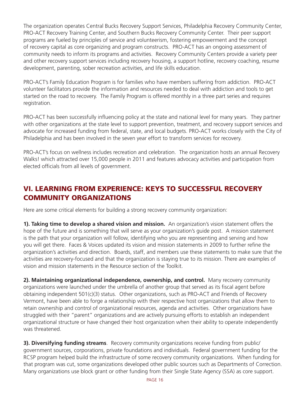The organization operates Central Bucks Recovery Support Services, Philadelphia Recovery Community Center, PRO-ACT Recovery Training Center, and Southern Bucks Recovery Community Center. Their peer support programs are fueled by principles of service and volunteerism, fostering empowerment and the concept of recovery capital as core organizing and program constructs. PRO-ACT has an ongoing assessment of community needs to inform its programs and activities. Recovery Community Centers provide a variety peer and other recovery support services including recovery housing, a support hotline, recovery coaching, resume development, parenting, sober recreation activities, and life skills education.

PRO-ACT's Family Education Program is for families who have members suffering from addiction. PRO-ACT volunteer facilitators provide the information and resources needed to deal with addiction and tools to get started on the road to recovery. The Family Program is offered monthly in a three part series and requires registration.

PRO-ACT has been successfully influencing policy at the state and national level for many years. They partner with other organizations at the state level to support prevention, treatment, and recovery support services and advocate for increased funding from federal, state, and local budgets. PRO-ACT works closely with the City of Philadelphia and has been involved in the seven year effort to transform services for recovery.

PRO-ACT's focus on wellness includes recreation and celebration. The organization hosts an annual Recovery Walks! which attracted over 15,000 people in 2011 and features advocacy activities and participation from elected officials from all levels of government.

# VI. LEARNING FROM EXPERIENCE: KEYS TO SUCCESSFUL RECOVERY COMMUNITY ORGANIZATIONS

Here are some critical elements for building a strong recovery community organization:

**1). Taking time to develop a shared vision and mission.** An organization's vision statement offers the hope of the future and is something that will serve as your organization's guide post. A mission statement is the path that your organization will follow, identifying who you are representing and serving and how you will get there. Faces & Voices updated its vision and mission statements in 2009 to further refine the organization's activities and direction. Boards, staff, and members use these statements to make sure that the activities are recovery-focused and that the organization is staying true to its mission. There are examples of vision and mission statements in the Resource section of the Toolkit.

**2). Maintaining organizational independence, ownership, and control.** Many recovery community organizations were launched under the umbrella of another group that served as its fiscal agent before obtaining independent 501(c)(3) status. Other organizations, such as PRO-ACT and Friends of Recovery Vermont, have been able to forge a relationship with their respective host organizations that allow them to retain ownership and control of organizational resources, agenda and activities. Other organizations have struggled with their "parent" organizations and are actively pursuing efforts to establish an independent organizational structure or have changed their host organization when their ability to operate independently was threatened.

**3). Diversifying funding streams**. Recovery community organizations receive funding from public/ government sources, corporations, private foundations and individuals. Federal government funding for the RCSP program helped build the infrastructure of some recovery community organizations. When funding for that program was cut, some organizations developed other public sources such as Departments of Correction. Many organizations use block grant or other funding from their Single State Agency (SSA) as core support.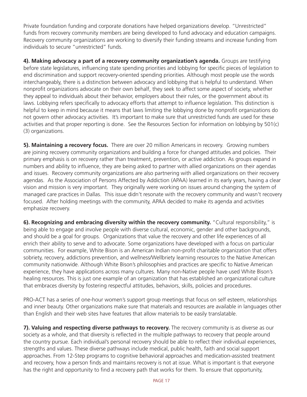Private foundation funding and corporate donations have helped organizations develop. "Unrestricted" funds from recovery community members are being developed to fund advocacy and education campaigns. Recovery community organizations are working to diversify their funding streams and increase funding from individuals to secure "unrestricted" funds.

**4). Making advocacy a part of a recovery community organization's agenda.** Groups are testifying before state legislatures, influencing state spending priorities and lobbying for specific pieces of legislation to end discrimination and support recovery-oriented spending priorities. Although most people use the words interchangeably, there is a distinction between advocacy and lobbying that is helpful to understand. When nonprofit organizations advocate on their own behalf, they seek to affect some aspect of society, whether they appeal to individuals about their behavior, employers about their rules, or the government about its laws. Lobbying refers specifically to advocacy efforts that attempt to influence legislation. This distinction is helpful to keep in mind because it means that laws limiting the lobbying done by nonprofit organizations do not govern other advocacy activities. It's important to make sure that unrestricted funds are used for these activities and that proper reporting is done. See the Resources Section for information on lobbying by 501(c) (3) organizations.

**5). Maintaining a recovery focus.** There are over 20 million Americans in recovery. Growing numbers are joining recovery community organizations and building a force for changed attitudes and policies. Their primary emphasis is on recovery rather than treatment, prevention, or active addiction. As groups expand in numbers and ability to influence, they are being asked to partner with allied organizations on their agendas and issues. Recovery community organizations are also partnering with allied organizations on their recovery agendas. As the Association of Persons Affected by Addiction (APAA) learned in its early years, having a clear vision and mission is very important. They originally were working on issues around changing the system of managed care practices in Dallas. This issue didn't resonate with the recovery community and wasn't recovery focused. After holding meetings with the community, APAA decided to make its agenda and activities emphasize recovery.

**6). Recognizing and embracing diversity within the recovery community.** "Cultural responsibility," is being able to engage and involve people with diverse cultural, economic, gender and other backgrounds, and should be a goal for groups. Organizations that value the recovery and other life experiences of all enrich their ability to serve and to advocate. Some organizations have developed with a focus on particular communities. For example, White Bison is an American Indian non-profit charitable organization that offers sobriety, recovery, addictions prevention, and wellness/Wellbriety learning resources to the Native American community nationwide. Although White Bison's philosophies and practices are specific to Native American experience, they have applications across many cultures. Many non-Native people have used White Bison's healing resources. This is just one example of an organization that has established an organizational culture that embraces diversity by fostering respectful attitudes, behaviors, skills, policies and procedures.

PRO-ACT has a series of one-hour women's support group meetings that focus on self esteem, relationships and inner beauty. Other organizations make sure that materials and resources are available in languages other than English and their web sites have features that allow materials to be easily translatable.

**7). Valuing and respecting diverse pathways to recovery.** The recovery community is as diverse as our society as a whole, and that diversity is reflected in the multiple pathways to recovery that people around the country pursue. Each individual's personal recovery should be able to reflect their individual experiences, strengths and values. These diverse pathways include medical, public health, faith and social support approaches. From 12-Step programs to cognitive behavioral approaches and medication-assisted treatment and recovery, how a person finds and maintains recovery is not at issue. What is important is that everyone has the right and opportunity to find a recovery path that works for them. To ensure that opportunity,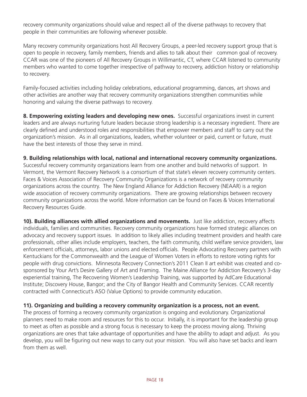recovery community organizations should value and respect all of the diverse pathways to recovery that people in their communities are following whenever possible.

Many recovery community organizations host All Recovery Groups, a peer-led recovery support group that is open to people in recovery, family members, friends and allies to talk about their common goal of recovery. CCAR was one of the pioneers of All Recovery Groups in Willimantic, CT, where CCAR listened to community members who wanted to come together irrespective of pathway to recovery, addiction history or relationship to recovery.

Family-focused activities including holiday celebrations, educational programming, dances, art shows and other activities are another way that recovery community organizations strengthen communities while honoring and valuing the diverse pathways to recovery.

**8. Empowering existing leaders and developing new ones.** Successful organizations invest in current leaders and are always nurturing future leaders because strong leadership is a necessary ingredient. There are clearly defined and understood roles and responsibilities that empower members and staff to carry out the organization's mission. As in all organizations, leaders, whether volunteer or paid, current or future, must have the best interests of those they serve in mind.

**9. Building relationships with local, national and international recovery community organizations.** Successful recovery community organizations learn from one another and build networks of support. In Vermont, the Vermont Recovery Network is a consortium of that state's eleven recovery community centers. Faces & Voices Association of Recovery Community Organizations is a network of recovery community organizations across the country. The New England Alliance for Addiction Recovery (NEAAR) is a region wide association of recovery community organizations. There are growing relationships between recovery community organizations across the world. More information can be found on Faces & Voices International Recovery Resources Guide.

**10). Building alliances with allied organizations and movements.** Just like addiction, recovery affects individuals, families and communities. Recovery community organizations have formed strategic alliances on advocacy and recovery support issues. In addition to likely allies including treatment providers and health care professionals, other allies include employers, teachers, the faith community, child welfare service providers, law enforcement officials, attorneys, labor unions and elected officials. People Advocating Recovery partners with Kentuckians for the Commonwealth and the League of Women Voters in efforts to restore voting rights for people with drug convictions. Minnesota Recovery Connection's 2011 Clean II art exhibit was created and cosponsored by Your Art's Desire Gallery of Art and Framing. The Maine Alliance for Addiction Recovery's 3-day experiential training, The Recovering Women's Leadership Training, was supported by AdCare Educational Institute; Discovery House, Bangor; and the City of Bangor Health and Community Services. CCAR recently contracted with Connecticut's ASO (Value Options) to provide community education.

#### **11). Organizing and building a recovery community organization is a process, not an event.**

The process of forming a recovery community organization is ongoing and evolutionary. Organizational planners need to make room and resources for this to occur. Initially, it is important for the leadership group to meet as often as possible and a strong focus is necessary to keep the process moving along. Thriving organizations are ones that take advantage of opportunities and have the ability to adapt and adjust. As you develop, you will be figuring out new ways to carry out your mission. You will also have set backs and learn from them as well.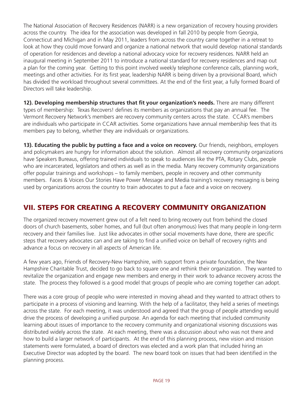The National Association of Recovery Residences (NARR) is a new organization of recovery housing providers across the country. The idea for the association was developed in fall 2010 by people from Georgia, Connecticut and Michigan and in May 2011, leaders from across the country came together in a retreat to look at how they could move forward and organize a national network that would develop national standards of operation for residences and develop a national advocacy voice for recovery residences. NARR held an inaugural meeting in September 2011 to introduce a national standard for recovery residences and map out a plan for the coming year. Getting to this point involved weekly telephone conference calls, planning work, meetings and other activities. For its first year, leadership NARR is being driven by a provisional Board, which has divided the workload throughout several committees. At the end of the first year, a fully formed Board of Directors will take leadership.

**12). Developing membership structures that fit your organization's needs.** There are many different types of membership: Texas Recovers! defines its members as organizations that pay an annual fee. The Vermont Recovery Network's members are recovery community centers across the state. CCAR's members are individuals who participate in CCAR activities. Some organizations have annual membership fees that its members pay to belong, whether they are individuals or organizations.

**13). Educating the public by putting a face and a voice on recovery.** Our friends, neighbors, employers and policymakers are hungry for information about the solution. Almost all recovery community organizations have Speakers Bureaus, offering trained individuals to speak to audiences like the PTA, Rotary Clubs, people who are incarcerated, legislators and others as well as in the media. Many recovery community organizations offer popular trainings and workshops – to family members, people in recovery and other community members. Faces & Voices Our Stories Have Power Message and Media training's recovery messaging is being used by organizations across the country to train advocates to put a face and a voice on recovery.

# VII. STEPS FOR CREATING A RECOVERY COMMUNITY ORGANIZATION

The organized recovery movement grew out of a felt need to bring recovery out from behind the closed doors of church basements, sober homes, and full (but often anonymous) lives that many people in long-term recovery and their families live. Just like advocates in other social movements have done, there are specific steps that recovery advocates can and are taking to find a unified voice on behalf of recovery rights and advance a focus on recovery in all aspects of American life.

A few years ago, Friends of Recovery-New Hampshire, with support from a private foundation, the New Hampshire Charitable Trust, decided to go back to square one and rethink their organization. They wanted to revitalize the organization and engage new members and energy in their work to advance recovery across the state. The process they followed is a good model that groups of people who are coming together can adopt.

There was a core group of people who were interested in moving ahead and they wanted to attract others to participate in a process of visioning and learning. With the help of a facilitator, they held a series of meetings across the state. For each meeting, it was understood and agreed that the group of people attending would drive the process of developing a unified purpose. An agenda for each meeting that included community learning about issues of importance to the recovery community and organizational visioning discussions was distributed widely across the state. At each meeting, there was a discussion about who was not there and how to build a larger network of participants. At the end of this planning process, new vision and mission statements were formulated, a board of directors was elected and a work plan that included hiring an Executive Director was adopted by the board. The new board took on issues that had been identified in the planning process.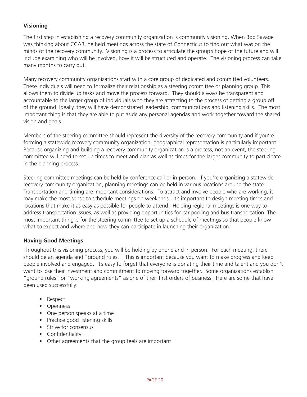# **Visioning**

The first step in establishing a recovery community organization is community visioning. When Bob Savage was thinking about CCAR, he held meetings across the state of Connecticut to find out what was on the minds of the recovery community. Visioning is a process to articulate the group's hope of the future and will include examining who will be involved, how it will be structured and operate. The visioning process can take many months to carry out.

Many recovery community organizations start with a core group of dedicated and committed volunteers. These individuals will need to formalize their relationship as a steering committee or planning group. This allows them to divide up tasks and move the process forward. They should always be transparent and accountable to the larger group of individuals who they are attracting to the process of getting a group off of the ground. Ideally, they will have demonstrated leadership, communications and listening skills. The most important thing is that they are able to put aside any personal agendas and work together toward the shared vision and goals.

Members of the steering committee should represent the diversity of the recovery community and if you're forming a statewide recovery community organization, geographical representation is particularly important. Because organizing and building a recovery community organization is a process, not an event, the steering committee will need to set up times to meet and plan as well as times for the larger community to participate in the planning process.

Steering committee meetings can be held by conference call or in-person. If you're organizing a statewide recovery community organization, planning meetings can be held in various locations around the state. Transportation and timing are important considerations. To attract and involve people who are working, it may make the most sense to schedule meetings on weekends. It's important to design meeting times and locations that make it as easy as possible for people to attend. Holding regional meetings is one way to address transportation issues, as well as providing opportunities for car pooling and bus transportation. The most important thing is for the steering committee to set up a schedule of meetings so that people know what to expect and where and how they can participate in launching their organization.

#### **Having Good Meetings**

Throughout this visioning process, you will be holding by phone and in person. For each meeting, there should be an agenda and "ground rules." This is important because you want to make progress and keep people involved and engaged. It's easy to forget that everyone is donating their time and talent and you don't want to lose their investment and commitment to moving forward together. Some organizations establish "ground rules" or "working agreements" as one of their first orders of business. Here are some that have been used successfully:

- Respect
- • Openness
- One person speaks at a time
- Practice good listening skills
- Strive for consensus
- Confidentiality
- Other agreements that the group feels are important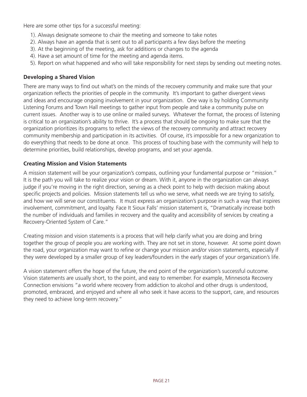Here are some other tips for a successful meeting:

- 1). Always designate someone to chair the meeting and someone to take notes
- 2). Always have an agenda that is sent out to all participants a few days before the meeting
- 3). At the beginning of the meeting, ask for additions or changes to the agenda
- 4). Have a set amount of time for the meeting and agenda items.
- 5). Report on what happened and who will take responsibility for next steps by sending out meeting notes.

## **Developing a Shared Vision**

There are many ways to find out what's on the minds of the recovery community and make sure that your organization reflects the priorities of people in the community. It's important to gather divergent views and ideas and encourage ongoing involvement in your organization. One way is by holding Community Listening Forums and Town Hall meetings to gather input from people and take a community pulse on current issues. Another way is to use online or mailed surveys. Whatever the format, the process of listening is critical to an organization's ability to thrive. It's a process that should be ongoing to make sure that the organization prioritizes its programs to reflect the views of the recovery community and attract recovery community membership and participation in its activities. Of course, it's impossible for a new organization to do everything that needs to be done at once. This process of touching base with the community will help to determine priorities, build relationships, develop programs, and set your agenda.

## **Creating Mission and Vision Statements**

A mission statement will be your organization's compass, outlining your fundamental purpose or "mission." It is the path you will take to realize your vision or dream. With it, anyone in the organization can always judge if you're moving in the right direction, serving as a check point to help with decision making about specific projects and policies. Mission statements tell us who we serve, what needs we are trying to satisfy, and how we will serve our constituents. It must express an organization's purpose in such a way that inspires involvement, commitment, and loyalty. Face It Sioux Falls' mission statement is, "Dramatically increase both the number of individuals and families in recovery and the quality and accessibility of services by creating a Recovery-Oriented System of Care."

Creating mission and vision statements is a process that will help clarify what you are doing and bring together the group of people you are working with. They are not set in stone, however. At some point down the road, your organization may want to refine or change your mission and/or vision statements, especially if they were developed by a smaller group of key leaders/founders in the early stages of your organization's life.

A vision statement offers the hope of the future, the end point of the organization's successful outcome. Vision statements are usually short, to the point, and easy to remember. For example, Minnesota Recovery Connection envisions "a world where recovery from addiction to alcohol and other drugs is understood, promoted, embraced, and enjoyed and where all who seek it have access to the support, care, and resources they need to achieve long-term recovery."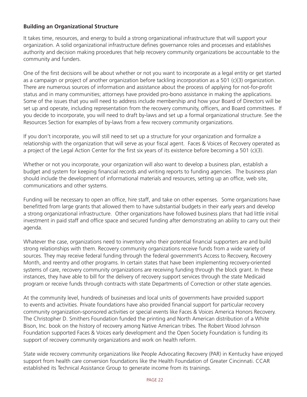#### **Building an Organizational Structure**

It takes time, resources, and energy to build a strong organizational infrastructure that will support your organization. A solid organizational infrastructure defines governance roles and processes and establishes authority and decision making procedures that help recovery community organizations be accountable to the community and funders.

One of the first decisions will be about whether or not you want to incorporate as a legal entity or get started as a campaign or project of another organization before tackling incorporation as a 501 (c)(3) organization. There are numerous sources of information and assistance about the process of applying for not-for-profit status and in many communities; attorneys have provided pro-bono assistance in making the applications. Some of the issues that you will need to address include membership and how your Board of Directors will be set up and operate, including representation from the recovery community, officers, and Board committees. If you decide to incorporate, you will need to draft by-laws and set up a formal organizational structure. See the Resources Section for examples of by-laws from a few recovery community organizations.

If you don't incorporate, you will still need to set up a structure for your organization and formalize a relationship with the organization that will serve as your fiscal agent. Faces & Voices of Recovery operated as a project of the Legal Action Center for the first six years of its existence before becoming a 501 (c)(3).

Whether or not you incorporate, your organization will also want to develop a business plan, establish a budget and system for keeping financial records and writing reports to funding agencies. The business plan should include the development of informational materials and resources, setting up an office, web site, communications and other systems.

Funding will be necessary to open an office, hire staff, and take on other expenses. Some organizations have benefitted from large grants that allowed them to have substantial budgets in their early years and develop a strong organizational infrastructure. Other organizations have followed business plans that had little initial investment in paid staff and office space and secured funding after demonstrating an ability to carry out their agenda.

Whatever the case, organizations need to inventory who their potential financial supporters are and build strong relationships with them. Recovery community organizations receive funds from a wide variety of sources. They may receive federal funding through the federal government's Access to Recovery, Recovery Month, and reentry and other programs. In certain states that have been implementing recovery-oriented systems of care, recovery community organizations are receiving funding through the block grant. In these instances, they have able to bill for the delivery of recovery support services through the state Medicaid program or receive funds through contracts with state Departments of Correction or other state agencies.

At the community level, hundreds of businesses and local units of governments have provided support to events and activities. Private foundations have also provided financial support for particular recovery community organization-sponsored activities or special events like Faces & Voices America Honors Recovery. The Christopher D. Smithers Foundation funded the printing and North American distribution of a White Bison, Inc. book on the history of recovery among Native American tribes. The Robert Wood Johnson Foundation supported Faces & Voices early development and the Open Society Foundation is funding its support of recovery community organizations and work on health reform.

State wide recovery community organizations like People Advocating Recovery (PAR) in Kentucky have enjoyed support from health care conversion foundations like the Health Foundation of Greater Cincinnati. CCAR established its Technical Assistance Group to generate income from its trainings.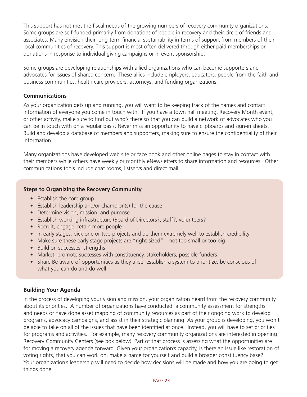This support has not met the fiscal needs of the growing numbers of recovery community organizations. Some groups are self-funded primarily from donations of people in recovery and their circle of friends and associates. Many envision their long-term financial sustainability in terms of support from members of their local communities of recovery. This support is most often delivered through either paid memberships or donations in response to individual giving campaigns or in event sponsorship.

Some groups are developing relationships with allied organizations who can become supporters and advocates for issues of shared concern. These allies include employers, educators, people from the faith and business communities, health care providers, attorneys, and funding organizations.

#### **Communications**

As your organization gets up and running, you will want to be keeping track of the names and contact information of everyone you come in touch with. If you have a town hall meeting, Recovery Month event, or other activity, make sure to find out who's there so that you can build a network of advocates who you can be in touch with on a regular basis. Never miss an opportunity to have clipboards and sign-in sheets. Build and develop a database of members and supporters, making sure to ensure the confidentiality of their information.

Many organizations have developed web site or face book and other online pages to stay in contact with their members while others have weekly or monthly eNewsletters to share information and resources. Other communications tools include chat rooms, listservs and direct mail.

#### **Steps to Organizing the Recovery Community**

- Establish the core group
- Establish leadership and/or champion(s) for the cause
- Determine vision, mission, and purpose
- Establish working infrastructure (Board of Directors?, staff?, volunteers?
- Recruit, engage, retain more people
- In early stages, pick one or two projects and do them extremely well to establish credibility
- Make sure these early stage projects are "right-sized" not too small or too big
- Build on successes, strengths
- Market; promote successes with constituency, stakeholders, possible funders
- Share Be aware of opportunities as they arise, establish a system to prioritize, be conscious of what you can do and do well

#### **Building Your Agenda**

In the process of developing your vision and mission, your organization heard from the recovery community about its priorities. A number of organizations have conducted a community assessment for strengths and needs or have done asset mapping of community resources as part of their ongoing work to develop programs, advocacy campaigns, and assist in their strategic planning As your group is developing, you won't be able to take on all of the issues that have been identified at once. Instead, you will have to set priorities for programs and activities. For example, many recovery community organizations are interested in opening Recovery Community Centers (see box below). Part of that process is assessing what the opportunities are for moving a recovery agenda forward. Given your organization's capacity, is there an issue like restoration of voting rights, that you can work on, make a name for yourself and build a broader constituency base? Your organization's leadership will need to decide how decisions will be made and how you are going to get things done.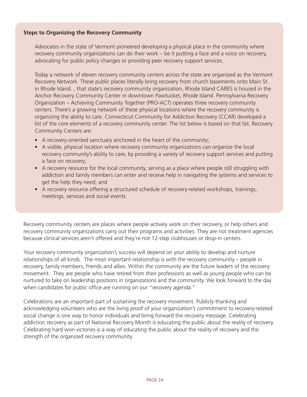#### **Steps to Organizing the Recovery Community**

Advocates in the state of Vermont pioneered developing a physical place in the community where recovery community organizations can do their work – be it putting a face and a voice on recovery, advocating for public policy changes or providing peer recovery support services.

Today a network of eleven recovery community centers across the state are organized as the Vermont Recovery Network. These public places literally bring recovery from church basements onto Main St. in Rhode Island. , that state's recovery community organization, Rhode Island CARES is housed in the Anchor Recovery Community Center in downtown Pawtucket, Rhode Island. Pennsylvania Recovery Organization – Achieving Community Together (PRO-ACT) operates three recovery community centers. There's a growing network of these physical locations where the recovery community is organizing the ability to care. Connecticut Community for Addiction Recovery (CCAR) developed a list of the core elements of a recovery community center. The list below is based on that list. Recovery Community Centers are:

- A recovery-oriented sanctuary anchored in the heart of the community;
- A visible, physical location where recovery community organizations can organize the local recovery community's ability to care, by providing a variety of recovery support services and putting a face on recovery;
- A recovery resource for the local community, serving as a place where people still struggling with addiction and family members can enter and receive help in navigating the systems and services to get the help they need; and
- A recovery resource offering a structured schedule of recovery-related workshops, trainings, meetings, services and social events.

Recovery community centers are places where people actively work on their recovery, or help others and recovery community organizations carry out their programs and activities. They are not treatment agencies because clinical services aren't offered and they're not 12-step clubhouses or drop-in centers.

Your recovery community organization's success will depend on your ability to develop and nurture relationships of all kinds. The most important relationship is with the recovery community – people in recovery, family members, friends and allies. Within the community are the future leaders of the recovery movement. They are people who have retired from their professions as well as young people who can be nurtured to take on leadership positions in organizations and the community. We look forward to the day when candidates for public office are running on our "recovery agenda."

Celebrations are an important part of sustaining the recovery movement. Publicly thanking and acknowledging volunteers who are the living proof of your organization's commitment to recovery-related social change is one way to honor individuals and bring forward the recovery message. Celebrating addiction recovery as part of National Recovery Month is educating the public about the reality of recovery. Celebrating hard won victories is a way of educating the public about the reality of recovery and the strength of the organized recovery community.